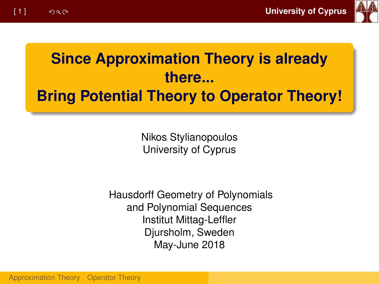

# **Since Approximation Theory is already there... Bring Potential Theory to Operator Theory!**

Nikos Stylianopoulos University of Cyprus

Hausdorff Geometry of Polynomials and Polynomial Sequences Institut Mittag-Leffler Djursholm, Sweden May-June 2018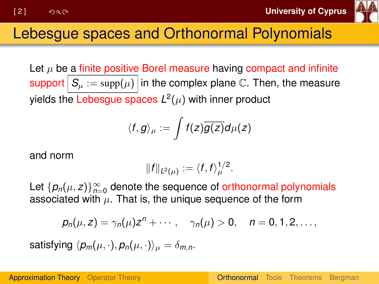

## <span id="page-1-0"></span>Lebesgue spaces and Orthonormal Polynomials

Let  $\mu$  be a finite positive Borel measure having compact and infinite support  $S_\mu := \text{supp}(\mu)$  in the complex plane C. Then, the measure yields the Lebesgue spaces  $\mathsf{L}^2(\mu)$  with inner product

$$
\langle f,g\rangle_\mu:=\int f(z)\overline{g(z)}d\mu(z)
$$

and norm

$$
||f||_{L^2(\mu)}:=\langle f,f\rangle_{\mu}^{1/2}.
$$

Let  $\{p_n(\mu, z)\}_{n=0}^{\infty}$  denote the sequence of orthonormal polynomials associated with  $\mu$ . That is, the unique sequence of the form

$$
p_n(\mu, z) = \gamma_n(\mu)z^n + \cdots, \quad \gamma_n(\mu) > 0, \quad n = 0, 1, 2, \ldots,
$$

satisfying  $\langle p_m(\mu, \cdot), p_n(\mu, \cdot)\rangle_{\mu} = \delta_{mn}$ .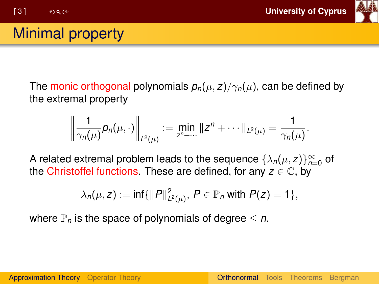

# Minimal property

The monic orthogonal polynomials  $p_n(\mu, z)/\gamma_n(\mu)$ , can be defined by the extremal property

$$
\left\|\frac{1}{\gamma_n(\mu)}p_n(\mu,\cdot)\right\|_{L^2(\mu)}:=\min_{z^n+\cdots}\|z^n+\cdots\|_{L^2(\mu)}=\frac{1}{\gamma_n(\mu)}.
$$

A related extremal problem leads to the sequence  $\{\lambda_n(\mu, z)\}_{n=0}^{\infty}$  of the Christoffel functions. These are defined, for any  $z \in \mathbb{C}$ , by

$$
\lambda_n(\mu, z) := \inf \{ ||P||^2_{L^2(\mu)}, \ P \in \mathbb{P}_n \text{ with } P(z) = 1 \},
$$

where  $\mathbb{P}_n$  is the space of polynomials of degree  $\leq n$ .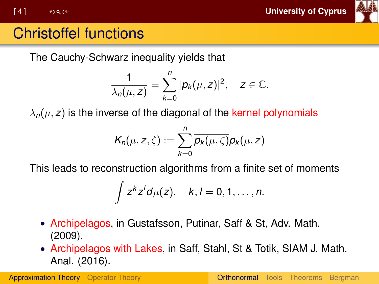

# Christoffel functions

The Cauchy-Schwarz inequality yields that

$$
\frac{1}{\lambda_n(\mu,z)}=\sum_{k=0}^n|p_k(\mu,z)|^2,\quad z\in\mathbb{C}.
$$

 $\lambda_n(\mu, z)$  is the inverse of the diagonal of the kernel polynomials

$$
K_n(\mu, z, \zeta) := \sum_{k=0}^n \overline{p_k(\mu, \zeta)} p_k(\mu, z)
$$

This leads to reconstruction algorithms from a finite set of moments

$$
\int z^k \overline{z}^l d\mu(z), \quad k,l=0,1,\ldots,n.
$$

- Archipelagos, in Gustafsson, Putinar, Saff & St, Adv. Math. (2009).
- Archipelagos with Lakes, in Saff, Stahl, St & Totik, SIAM J. Math. Anal. (2016).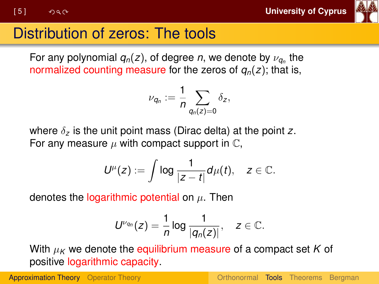

# <span id="page-4-0"></span>Distribution of zeros: The tools

For any polynomial  $q_n(z)$ , of degree *n*, we denote by  $\nu_{\boldsymbol{q}_n}$  the normalized counting measure for the zeros of *qn*(*z*); that is,

$$
\nu_{q_n}:=\frac{1}{n}\sum_{q_n(z)=0}\delta_z,
$$

where δ*<sup>z</sup>* is the unit point mass (Dirac delta) at the point *z*. For any measure  $\mu$  with compact support in  $\mathbb{C}$ ,

$$
U^{\mu}(z):=\int \log \frac{1}{|z-t|}d\mu(t), \quad z\in \mathbb{C}.
$$

denotes the logarithmic potential on  $\mu$ . Then

$$
U^{\nu_{q_n}}(z)=\frac{1}{n}\log\frac{1}{|q_n(z)|},\quad z\in\mathbb{C}.
$$

With  $\mu_K$  we denote the equilibrium measure of a compact set K of positive logarithmic capacity.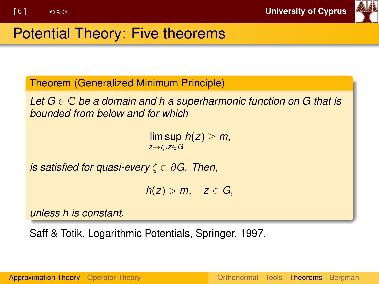

<span id="page-5-0"></span>Theorem (Generalized Minimum Principle)

*Let G* ∈ C *be a domain and h a superharmonic function on G that is bounded from below and for which*

> $\limsup h(z) \geq m$ , *z*→ζ,*z*∈*G*

*is satisfied for quasi-every* ζ ∈ ∂*G. Then,*

 $h(z) > m$ ,  $z \in G$ ,

*unless h is constant.*

Saff & Totik, Logarithmic Potentials, Springer, 1997.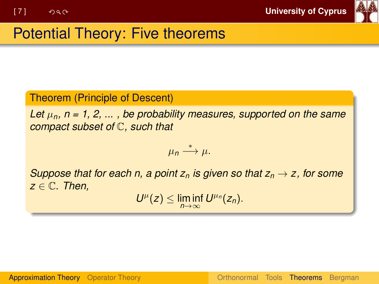

#### Theorem (Principle of Descent)

Let  $\mu_n$ ,  $n = 1, 2, \ldots$ , be probability measures, supported on the same *compact subset of* C*, such that*

$$
\mu_n\stackrel{*}{\longrightarrow}\mu.
$$

*Suppose that for each n, a point*  $z_n$  *is given so that*  $z_n \to z$ *, for some z* ∈ C*. Then,*

 $U^{\mu}(z) \leq \liminf_{n \to \infty} U^{\mu_n}(z_n).$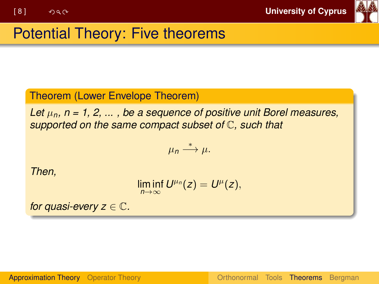

#### Theorem (Lower Envelope Theorem)

Let  $\mu_n$ ,  $n = 1, 2, \ldots$ , be a sequence of positive unit Borel measures, *supported on the same compact subset of* C*, such that*

$$
\mu_n\stackrel{*}{\longrightarrow}\mu.
$$

*Then,*

$$
\liminf_{n\to\infty}U^{\mu_n}(z)=U^\mu(z),
$$

*for quasi-every*  $z \in \mathbb{C}$ .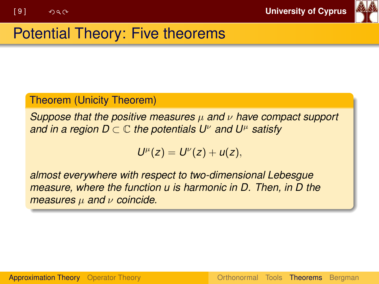

#### Theorem (Unicity Theorem)

*Suppose that the positive measures* µ *and* ν *have compact support and in a region D*  $\subset \mathbb{C}$  *the potentials U<sup>ν</sup> and U<sup>μ</sup> satisfy* 

$$
U^{\mu}(z)=U^{\nu}(z)+u(z),
$$

*almost everywhere with respect to two-dimensional Lebesgue measure, where the function u is harmonic in D. Then, in D the measures* µ *and* ν *coincide.*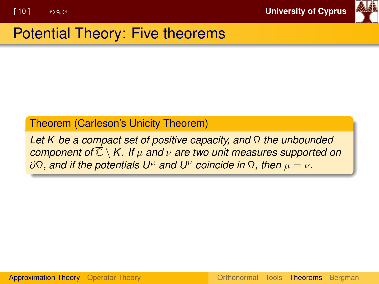

#### Theorem (Carleson's Unicity Theorem)

*Let K be a compact set of positive capacity, and* Ω *the unbounded component of* C \ *K . If* µ *and* ν *are two unit measures supported on*  $∂Ω$ *, and if the potentials U<sup>μ</sup> and U<sup>ν</sup> coincide in* Ω*, then*  $μ = ν$ *.*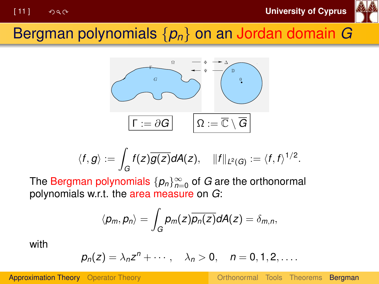

# <span id="page-10-0"></span>Bergman polynomials {*pn*} on an Jordan domain *G*



$$
\langle f,g\rangle:=\int_G f(z)\overline{g(z)}dA(z),\quad \|f\|_{L^2(G)}:=\langle f,f\rangle^{1/2}.
$$

The  $\mathsf{Bergman}$  polynomials  $\{\rho_n\}_{n=0}^\infty$  of  $G$  are the orthonormal polynomials w.r.t. the area measure on *G*:

$$
\langle p_m, p_n \rangle = \int_G p_m(z) \overline{p_n(z)} dA(z) = \delta_{m,n},
$$

with

$$
p_n(z) = \lambda_n z^n + \cdots, \quad \lambda_n > 0, \quad n = 0, 1, 2, \ldots.
$$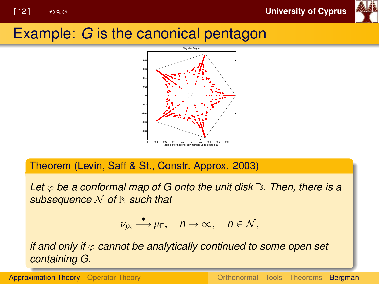

# Example: *G* is the canonical pentagon



Theorem (Levin, Saff & St., Constr. Approx. 2003)

*Let* ϕ *be a conformal map of G onto the unit disk* D. *Then, there is a subsequence* N *of* N *such that*

$$
\nu_{p_n}\stackrel{*}{\longrightarrow}\mu_{\Gamma},\quad n\to\infty,\quad n\in\mathcal{N},
$$

*if and only if* ϕ *cannot be analytically continued to some open set containing G.*

[Approximation Theory](#page-1-0) [Operator Theory](#page-26-0) [Orthonormal](#page-1-0) [Tools](#page-4-0) [Theorems](#page-5-0) [Bergman](#page-10-0)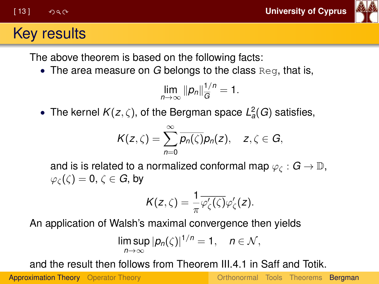

## Key results

The above theorem is based on the following facts:

• The area measure on *G* belongs to the class Reg, that is,

$$
\lim_{n\to\infty}||p_n||_{\overline{G}}^{1/n}=1.
$$

• The kernel  $K(z, \zeta)$ , of the Bergman space  $L^2_a(G)$  satisfies,

$$
K(z,\zeta)=\sum_{n=0}^{\infty}\overline{p_n(\zeta)}p_n(z),\quad z,\zeta\in G,
$$

and is is related to a normalized conformal map  $\varphi_{\mathcal{C}}: G \to \mathbb{D}$ ,  $\varphi_{\zeta}(\zeta) = 0, \, \zeta \in G$ , by

$$
K(z,\zeta)=\frac{1}{\pi}\overline{\varphi'_{\zeta}(\zeta)}\varphi'_{\zeta}(z).
$$

An application of Walsh's maximal convergence then yields

$$
\limsup_{n\to\infty} |p_n(\zeta)|^{1/n} = 1, \quad n \in \mathcal{N},
$$

and the result then follows from Theorem III.4.1 in Saff and Totik.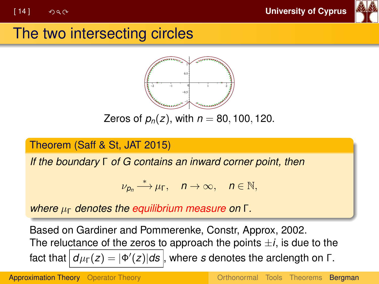[ 14 ] **University of Cyprus**



## The two intersecting circles



Zeros of  $p_n(z)$ , with  $n = 80, 100, 120$ .

#### Theorem (Saff & St, JAT 2015)

*If the boundary* Γ *of G contains an inward corner point, then*

$$
\nu_{p_n}\stackrel{*}{\longrightarrow}\mu_{\Gamma},\quad n\to\infty,\quad n\in\mathbb{N},
$$

*where* µ<sup>Γ</sup> *denotes the equilibrium measure on* Γ*.*

Based on Gardiner and Pommerenke, Constr, Approx, 2002. The reluctance of the zeros to approach the points  $\pm i$ , is due to the fact that  $\big\vert d\mu_{\mathsf{F}}(z)=\vert \Phi'(z)\vert d\mathbf{s}\big\vert$ , where  $s$  denotes the arclength on Γ.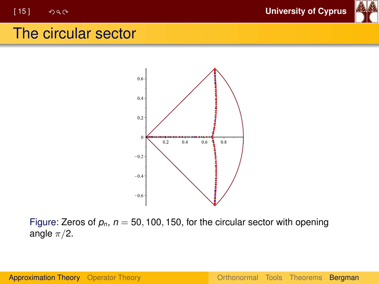

## The circular sector



Figure: Zeros of  $p_n$ ,  $n = 50$ , 100, 150, for the circular sector with opening angle  $\pi/2$ .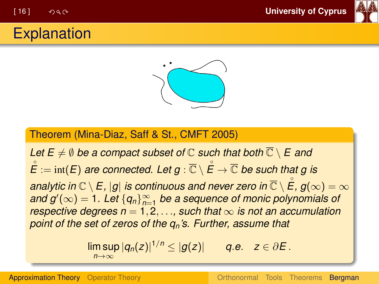

## **Explanation**



#### Theorem (Mina-Diaz, Saff & St., CMFT 2005)

*Let*  $E \neq \emptyset$  *be a compact subset of*  $\mathbb C$  *such that both*  $\overline{\mathbb C} \setminus E$  *and*  $\mathring{\!E} := \operatorname{int}(\overline{E})$  are connected. Let  $g : \overline{\mathbb{C}} \setminus \mathring{\!E} \to \overline{\mathbb{C}}$  be such that  $g$  is analytic in  $\mathbb{C}\setminus\mathsf{E}$  ,  $|g|$  is continuous and never zero in  $\overline{\mathbb{C}}\setminus \mathring{\mathsf{E}}$  ,  $g(\infty)=\infty$  $and g'(\infty) = 1.$  Let  $\{q_n\}_{n=1}^{\infty}$  be a sequence of monic polynomials of *respective degrees*  $n = 1, 2, \ldots$  *such that*  $\infty$  *is not an accumulation point of the set of zeros of the qn's. Further, assume that*

$$
\limsup_{n\to\infty}|q_n(z)|^{1/n}\leq |g(z)|\qquad q.e. \quad z\in\partial E.
$$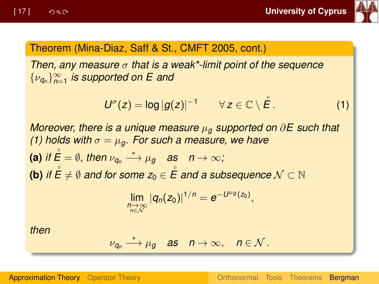

#### Theorem (Mina-Diaz, Saff & St., CMFT 2005, cont.)

*Then, any measure* σ *that is a weak\*-limit point of the sequence* {ν*<sup>q</sup><sup>n</sup>* }<sup>∞</sup> *n*=1 *is supported on E and*

<span id="page-16-0"></span>
$$
U^{\sigma}(z) = \log |g(z)|^{-1} \qquad \forall z \in \mathbb{C} \setminus \overset{\circ}{E}.
$$
 (1)

*Moreover, there is a unique measure* µ*<sup>g</sup> supported on* ∂*E such that [\(1\)](#page-16-0)* holds with  $\sigma = \mu_q$ . For such a measure, we have **(a)** if  $\stackrel{\circ}{E} = \emptyset$ , then  $\nu_{\bm{q}_n} \stackrel{*}{\longrightarrow} \mu_{\bm{g}}$  as  $n \to \infty$ ; **(b)** if  $\stackrel{\circ}{E} \neq \emptyset$  and for some  $z_0 \in \stackrel{\circ}{E}$  and a subsequence  $\mathcal{N} \subset \mathbb{N}$ 

$$
\lim_{\substack{n\to\infty\\n\in\mathcal{N}}} |q_n(z_0)|^{1/n}=e^{-U^{\mu}g(z_0)},
$$

*then*

$$
\nu_{q_n} \stackrel{*}{\longrightarrow} \mu_g \quad \text{as} \quad n \to \infty, \quad n \in \mathcal{N} \, .
$$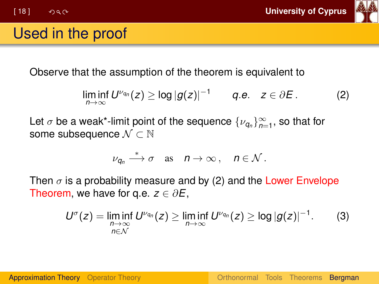

## Used in the proof

Observe that the assumption of the theorem is equivalent to

<span id="page-17-0"></span>
$$
\liminf_{n\to\infty} U^{\nu_{q_n}}(z) \geq \log |g(z)|^{-1} \qquad q.e. \quad z \in \partial E. \tag{2}
$$

Let  $\sigma$  be a weak\*-limit point of the sequence  $\{\nu_{q_n}\}_{n=1}^\infty$ , so that for some subsequence  $\mathcal{N} \subset \mathbb{N}$ 

$$
\nu_{q_n} \stackrel{*}{\longrightarrow} \sigma \quad \text{as} \quad n \to \infty \,, \quad n \in \mathcal{N} \,.
$$

Then  $\sigma$  is a probability measure and by [\(2\)](#page-17-0) and the Lower Envelope Theorem, we have for q.e.  $z \in \partial E$ ,

<span id="page-17-1"></span>
$$
U^{\sigma}(z) = \liminf_{\substack{n \to \infty \\ n \in \mathcal{N}}} U^{\nu_{q_n}}(z) \ge \liminf_{n \to \infty} U^{\nu_{q_n}}(z) \ge \log |g(z)|^{-1}.
$$
 (3)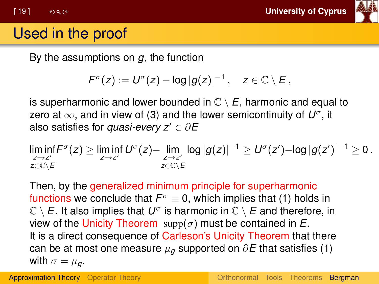

# Used in the proof

By the assumptions on *g*, the function

$$
F^{\sigma}(z) := U^{\sigma}(z) - \log |g(z)|^{-1}, \quad z \in \mathbb{C} \setminus E,
$$

is superharmonic and lower bounded in  $\mathbb{C} \setminus E$ , harmonic and equal to zero at ∞, and in view of [\(3\)](#page-17-1) and the lower semicontinuity of *U* σ , it also satisfies for *quasi-every*  $z' \in \partial E$ 

$$
\liminf_{\substack{z \to z' \\ z \in \mathbb{C} \setminus E}} F^{\sigma}(z) \ge \liminf_{z \to z'} U^{\sigma}(z) - \lim_{\substack{z \to z' \\ z \in \mathbb{C} \setminus E}} \log |g(z)|^{-1} \ge U^{\sigma}(z') - \log |g(z')|^{-1} \ge 0.
$$

Then, by the generalized minimum principle for superharmonic functions we conclude that  $F^{\sigma} \equiv 0$ , which implies that [\(1\)](#page-16-0) holds in  $\mathbb{C} \setminus E.$  It also implies that  $U^\sigma$  is harmonic in  $\mathbb{C} \setminus E$  and therefore, in view of the Unicity Theorem  $supp(\sigma)$  must be contained in  $E$ . It is a direct consequence of Carleson's Unicity Theorem that there can be at most one measure  $\mu_q$  supported on  $\partial E$  that satisfies [\(1\)](#page-16-0) with  $\sigma = \mu_a$ .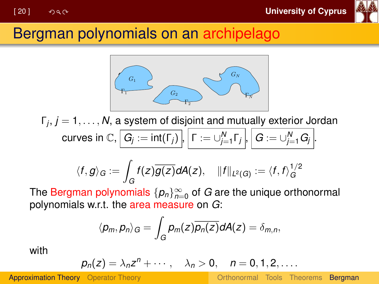

## Bergman polynomials on an archipelago



Γ*j* , *j* = 1, . . . , *N*, a system of disjoint and mutually exterior Jordan  $\textsf{curves in } \mathbb{C}, \big| \textit{G}_j := \textsf{int}(\Gamma_j) \big|, \big| \textit{\textsf{T}} := \cup_{j=1}^N \Gamma_j \big|, \big| \textit{\textsf{G}} := \cup_{j=1}^N \textit{G}_j \big|.$ 

$$
\langle f, g \rangle_G := \int_G f(z) \overline{g(z)} dA(z), \quad ||f||_{L^2(G)} := \langle f, f \rangle_G^{1/2}
$$

The Bergman polynomials  $\{ \rho_n \}_{n=0}^{\infty}$  of  $G$  are the unique orthonormal polynomials w.r.t. the area measure on *G*:

$$
\langle p_m, p_n \rangle_G = \int_G p_m(z) \overline{p_n(z)} dA(z) = \delta_{m,n},
$$

with

$$
p_n(z) = \lambda_n z^n + \cdots, \quad \lambda_n > 0, \quad n = 0, 1, 2, \ldots.
$$

[Approximation Theory](#page-1-0) [Operator Theory](#page-26-0) [Orthonormal](#page-1-0) [Tools](#page-4-0) [Theorems](#page-5-0) [Bergman](#page-10-0)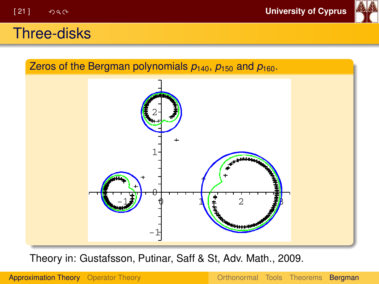

#### Three-disks



Theory in: Gustafsson, Putinar, Saff & St, Adv. Math., 2009.

[Approximation Theory](#page-1-0) [Operator Theory](#page-26-0) [Orthonormal](#page-1-0) [Tools](#page-4-0) [Theorems](#page-5-0) [Bergman](#page-10-0)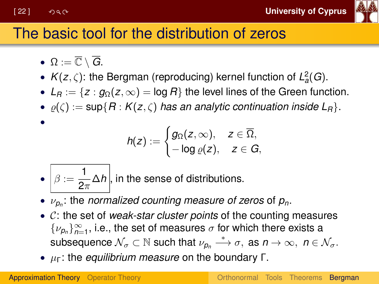•



# The basic tool for the distribution of zeros

- $\Omega := \overline{\mathbb{C}} \setminus \overline{G}$ .
- $K(z, \zeta)$ : the Bergman (reproducing) kernel function of  $L^2_a(G)$ .
- $L_R := \{ z : g_\Omega(z, \infty) = \log R \}$  the level lines of the Green function.
- $\rho(\zeta) := \sup\{R : K(z,\zeta)\}$  *has an analytic continuation inside*  $L_R\}$ .

$$
h(z):=\begin{cases} g_\Omega(z,\infty), & z\in\overline{\Omega},\\ -\log\varrho(z), & z\in G,\end{cases}
$$

- $\bullet \big| \beta := \frac{1}{2}$  $\frac{1}{2\pi}\Delta h\Big\vert$ , in the sense of distributions.
- ν*<sup>p</sup><sup>n</sup>* : the *normalized counting measure of zeros* of *pn*.
- C: the set of *weak-star cluster points* of the counting measures  $\{\nu_{p_n}\}_{n=1}^{\infty}$ , i.e., the set of measures  $\sigma$  for which there exists a subsequence  $\mathcal{N}_{\sigma} \subset \mathbb{N}$  such that  $\nu_{p_n} \stackrel{*}{\longrightarrow} \sigma$ , as  $n \to \infty$ ,  $n \in \mathcal{N}_{\sigma}$ .
- µΓ: the *equilibrium measure* on the boundary Γ.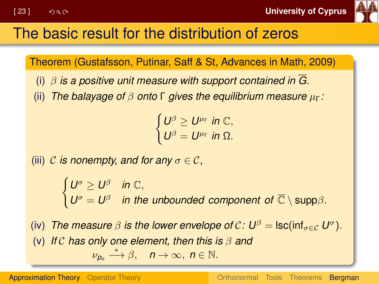

# The basic result for the distribution of zeros

Theorem (Gustafsson, Putinar, Saff & St, Advances in Math, 2009)

- (i) β *is a positive unit measure with support contained in G.*
- (ii) *The balayage of* β *onto* Γ *gives the equilibrium measure* µΓ*:*

 $\int U^{\beta} \geq U^{\mu_{\Gamma}}$  in  $\mathbb{C},$  $U^{\beta} = U^{\mu_{\Gamma}}$  *in* Ω.

(iii) C *is nonempty, and for any*  $\sigma \in \mathcal{C}$ ,

 $\int U^{\sigma} \geq U^{\beta}$  *in*  $\mathbb{C},$  $U^{\sigma} = U^{\beta}$  *in the unbounded component of*  $\overline{\mathbb{C}} \setminus \text{supp}\beta$ .

(iv) *The measure*  $\beta$  *is the lower envelope of*  $\mathcal{C}: U^{\beta} = \mathsf{Isc}(\mathsf{inf}_{\sigma \in \mathcal{C}} U^{\sigma})$ *.* (v) *If* C *has only one element, then this is* β *and*  $\nu_{p_n} \stackrel{*}{\longrightarrow} \beta, \quad n \to \infty, \ n \in \mathbb{N}.$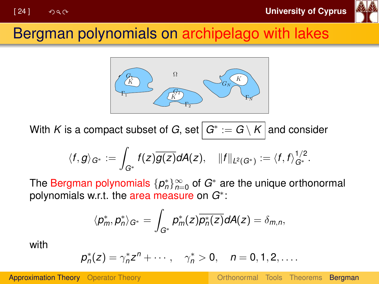

## Bergman polynomials on archipelago with lakes



With  $K$  is a compact subset of  $G$ , set $\big\vert \, G^* := G \setminus K \big\vert$  and consider

$$
\langle f,g\rangle_{G^*}:=\int_{G^*}f(z)\overline{g(z)}dA(z),\quad \|f\|_{L^2(G^*)}:=\langle f,f\rangle_{G^*}^{1/2}.
$$

The Bergman polynomials  $\{p_n^*\}_{n=0}^\infty$  of  $G^*$  are the unique orthonormal polynomials w.r.t. the area measure on *G*<sup>∗</sup> :

$$
\langle p_m^*,p_n^*\rangle_{G^*}=\int_{G^*}p_m^*(z)\overline{p_n^*(z)}dA(z)=\delta_{m,n},
$$

with

$$
p_n^*(z)=\gamma_n^*z^n+\cdots, \quad \gamma_n^*>0, \quad n=0,1,2,\ldots.
$$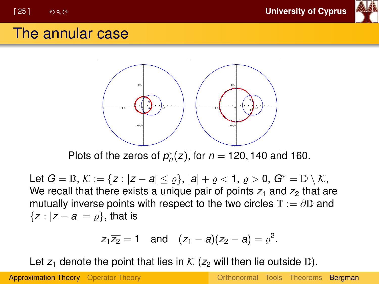

## The annular case



Let  $G = \mathbb{D}, K := \{z : |z - a| \leq \varrho\}, |a| + \varrho < 1, \varrho > 0, G^* = \mathbb{D} \setminus \mathcal{K},$ We recall that there exists a unique pair of points  $z_1$  and  $z_2$  that are mutually inverse points with respect to the two circles  $\mathbb{T} := \partial \mathbb{D}$  and  ${z : |z - a| = \rho}$ , that is

$$
z_1 \overline{z_2} = 1
$$
 and  $(z_1 - a)(\overline{z_2 - a}) = \varrho^2$ .

Let  $z_1$  denote the point that lies in  $\mathcal K$  ( $z_2$  will then lie outside  $\mathbb D$ ).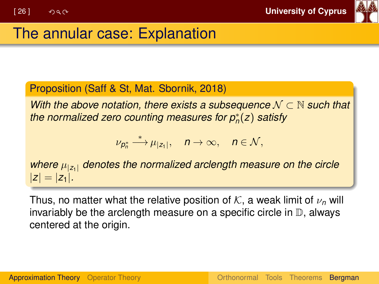

# The annular case: Explanation

#### Proposition (Saff & St, Mat. Sbornik, 2018)

*With the above notation, there exists a subsequence*  $N \subset N$  *such that the normalized zero counting measures for p*<sup>∗</sup> *n* (*z*) *satisfy*

$$
\nu_{p_n^*}\stackrel{*}{\longrightarrow} \mu_{|z_1|},\quad n\to\infty,\quad n\in\mathcal{N},
$$

*where*  $\mu_{|z_1|}$  *denotes the normalized arclength measure on the circle*  $|z| = |z_1|$ .

Thus, no matter what the relative position of  $K$ , a weak limit of  $\nu_n$  will invariably be the arclength measure on a specific circle in  $\mathbb D$ , always centered at the origin.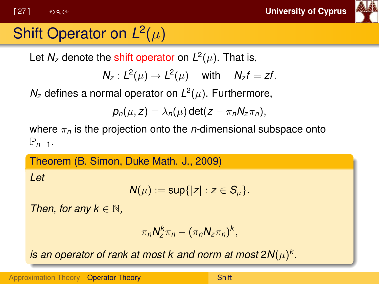<span id="page-26-0"></span>[ 27 ] **University of Cyprus**



# Shift Operator on  $L^2(\mu)$

Let  $N_z$  denote the shift operator on  $L^2(\mu)$ . That is,

$$
N_z: L^2(\mu) \to L^2(\mu) \quad \text{ with } \quad N_z f = zf.
$$

 $N_z$  defines a normal operator on  $L^2(\mu)$ . Furthermore,

$$
p_n(\mu, z) = \lambda_n(\mu) \det(z - \pi_n N_z \pi_n),
$$

where π*<sup>n</sup>* is the projection onto the *n*-dimensional subspace onto  $\mathbb{P}_{n-1}$ .

#### Theorem (B. Simon, Duke Math. J., 2009)

*Let*

$$
N(\mu):=\sup\{|z|:z\in S_{\mu}\}.
$$

*Then, for any k*  $\in$  N,

$$
\pi_n N_z^k \pi_n - (\pi_n N_z \pi_n)^k,
$$

is an operator of rank at most k and norm at most 2 $N(\mu)^k$ .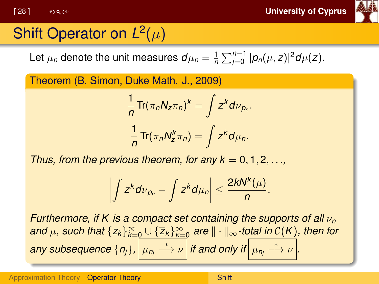

# Shift Operator on  $L^2(\mu)$

Let  $\mu_n$  denote the unit measures  $d\mu_n = \frac{1}{n} \sum_{j=0}^{n-1} |p_n(\mu, z)|^2 d\mu(z)$ .

Theorem (B. Simon, Duke Math. J., 2009)

$$
\frac{1}{n}\operatorname{Tr}(\pi_n N_z \pi_n)^k = \int z^k d\nu_{p_n}.
$$

$$
\frac{1}{n}\operatorname{Tr}(\pi_n N_z^k \pi_n) = \int z^k d\mu_n.
$$

*Thus, from the previous theorem, for any*  $k = 0, 1, 2, \ldots$ *,* 

$$
\left|\int z^k d\nu_{p_n}-\int z^k d\mu_n\right|\leq \frac{2kN^k(\mu)}{n}.
$$

*Furthermore, if K is a compact set containing the supports of all* ν*<sup>n</sup> and*  $\mu$ , such that  $\{z_k\}_{k=0}^{\infty} \cup \{\overline{z}_k\}_{k=0}^{\infty}$  are  $\|\cdot\|_{\infty}$ -total in C(K), then for  $\frac{1}{2}$  *any subsequence*  $\{n_j\}$ ,  $\Big|\mu_{n_j}\overset{*}{\longrightarrow}\nu\Big|$  *if and only if*  $\Big|\mu_{n_j}\overset{*}{\longrightarrow}\nu\Big|$ .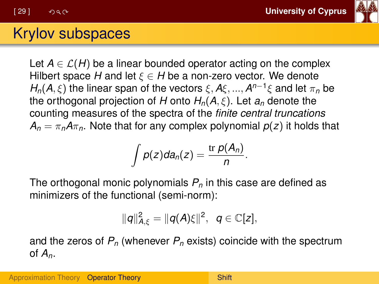[ 29 ] **University of Cyprus**



#### Krylov subspaces

Let  $A \in \mathcal{L}(H)$  be a linear bounded operator acting on the complex Hilbert space *H* and let  $\xi \in H$  be a non-zero vector. We denote *H<sub>n</sub>*(*A*,  $\xi$ ) the linear span of the vectors  $\xi$ , *A* $\xi$ , ..., *A*<sup>*n*−1</sup> $\xi$  and let  $\pi$ <sub>*n*</sub> be the orthogonal projection of *H* onto  $H_n(A, \xi)$ . Let  $a_n$  denote the counting measures of the spectra of the *finite central truncations*  $A_n = \pi_n A \pi_n$ . Note that for any complex polynomial  $p(z)$  it holds that

$$
\int p(z) da_n(z) = \frac{\operatorname{tr} p(A_n)}{n}.
$$

The orthogonal monic polynomials *P<sup>n</sup>* in this case are defined as minimizers of the functional (semi-norm):

$$
||q||_{A,\xi}^2=||q(A)\xi||^2, \quad q\in\mathbb{C}[z],
$$

and the zeros of *P<sup>n</sup>* (whenever *P<sup>n</sup>* exists) coincide with the spectrum of *An*.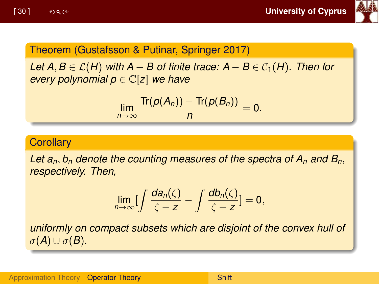

#### Theorem (Gustafsson & Putinar, Springer 2017)

*Let A, B*  $\in$   $\mathcal{L}(H)$  *with A* − *B* of finite trace:  $A - B \in \mathcal{C}_1(H)$ . Then for *every polynomial p* ∈ C[*z*] *we have*

$$
\lim_{n\to\infty}\frac{\text{Tr}(p(A_n))- \text{Tr}(p(B_n))}{n}=0.
$$

#### **Corollary**

Let  $a_n$ ,  $b_n$  denote the counting measures of the spectra of  $A_n$  and  $B_n$ , *respectively. Then,*

$$
\lim_{n\to\infty}\bigl[\int\frac{da_n(\zeta)}{\zeta-z}-\int\frac{db_n(\zeta)}{\zeta-z}\bigr]=0,
$$

*uniformly on compact subsets which are disjoint of the convex hull of*  $\sigma(A) \cup \sigma(B)$ .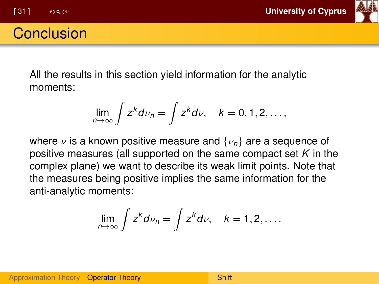

## **Conclusion**

All the results in this section yield information for the analytic moments:

$$
\lim_{n\to\infty}\int z^k d\nu_n=\int z^k d\nu, \quad k=0,1,2,\ldots,
$$

where  $\nu$  is a known positive measure and  $\{\nu_n\}$  are a sequence of positive measures (all supported on the same compact set *K* in the complex plane) we want to describe its weak limit points. Note that the measures being positive implies the same information for the anti-analytic moments:

$$
\lim_{n\to\infty}\int\overline{z}^k d\nu_n=\int\overline{z}^k d\nu, \quad k=1,2,\ldots.
$$